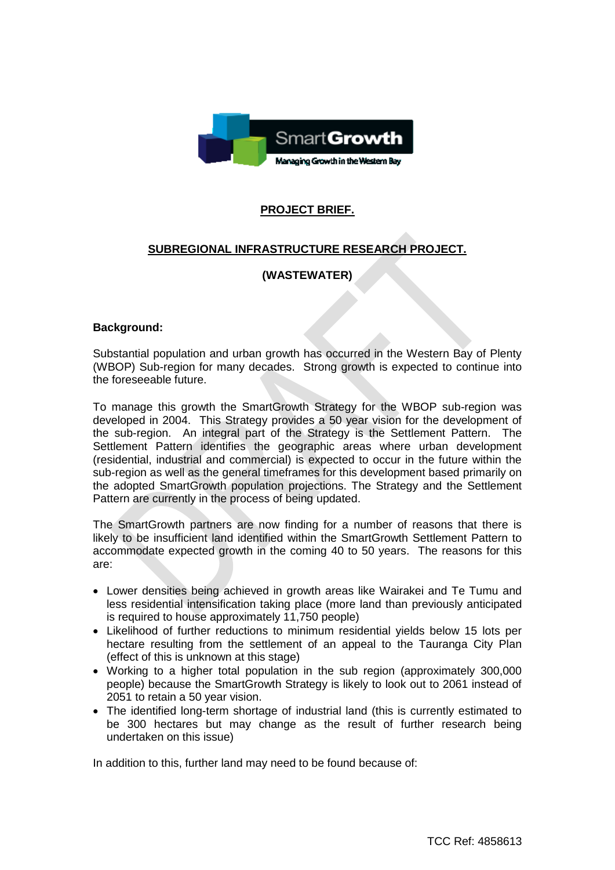

# **PROJECT BRIEF.**

## **SUBREGIONAL INFRASTRUCTURE RESEARCH PROJECT.**

## **(WASTEWATER)**

### **Background:**

Substantial population and urban growth has occurred in the Western Bay of Plenty (WBOP) Sub-region for many decades. Strong growth is expected to continue into the foreseeable future.

To manage this growth the SmartGrowth Strategy for the WBOP sub-region was developed in 2004. This Strategy provides a 50 year vision for the development of the sub-region. An integral part of the Strategy is the Settlement Pattern. The Settlement Pattern identifies the geographic areas where urban development (residential, industrial and commercial) is expected to occur in the future within the sub-region as well as the general timeframes for this development based primarily on the adopted SmartGrowth population projections. The Strategy and the Settlement Pattern are currently in the process of being updated.

The SmartGrowth partners are now finding for a number of reasons that there is likely to be insufficient land identified within the SmartGrowth Settlement Pattern to accommodate expected growth in the coming 40 to 50 years. The reasons for this are:

- Lower densities being achieved in growth areas like Wairakei and Te Tumu and less residential intensification taking place (more land than previously anticipated is required to house approximately 11,750 people)
- Likelihood of further reductions to minimum residential yields below 15 lots per hectare resulting from the settlement of an appeal to the Tauranga City Plan (effect of this is unknown at this stage)
- Working to a higher total population in the sub region (approximately 300,000 people) because the SmartGrowth Strategy is likely to look out to 2061 instead of 2051 to retain a 50 year vision.
- The identified long-term shortage of industrial land (this is currently estimated to be 300 hectares but may change as the result of further research being undertaken on this issue)

In addition to this, further land may need to be found because of: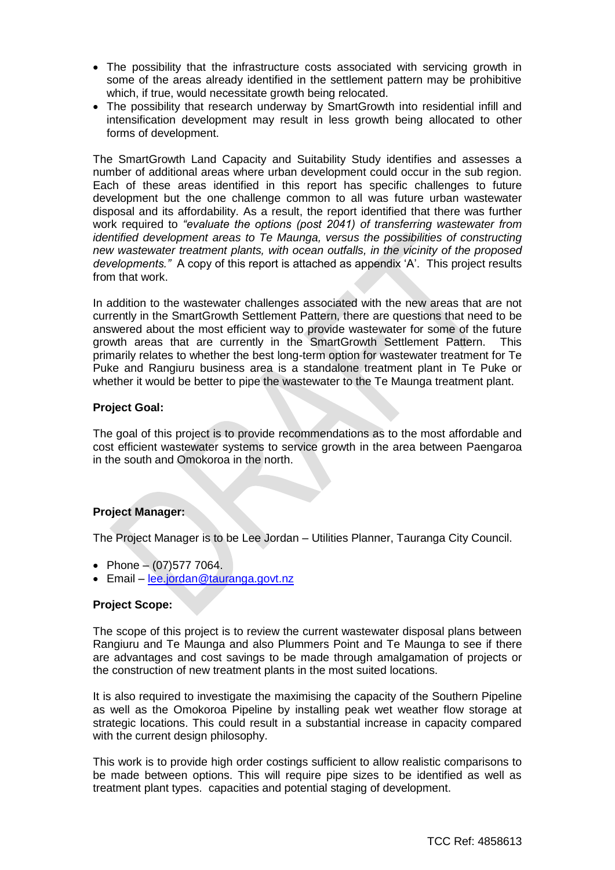- The possibility that the infrastructure costs associated with servicing growth in some of the areas already identified in the settlement pattern may be prohibitive which, if true, would necessitate growth being relocated.
- The possibility that research underway by SmartGrowth into residential infill and intensification development may result in less growth being allocated to other forms of development.

The SmartGrowth Land Capacity and Suitability Study identifies and assesses a number of additional areas where urban development could occur in the sub region. Each of these areas identified in this report has specific challenges to future development but the one challenge common to all was future urban wastewater disposal and its affordability. As a result, the report identified that there was further work required to *"evaluate the options (post 2041) of transferring wastewater from identified development areas to Te Maunga, versus the possibilities of constructing new wastewater treatment plants, with ocean outfalls, in the vicinity of the proposed developments."* A copy of this report is attached as appendix 'A'. This project results from that work.

In addition to the wastewater challenges associated with the new areas that are not currently in the SmartGrowth Settlement Pattern, there are questions that need to be answered about the most efficient way to provide wastewater for some of the future growth areas that are currently in the SmartGrowth Settlement Pattern. This primarily relates to whether the best long-term option for wastewater treatment for Te Puke and Rangiuru business area is a standalone treatment plant in Te Puke or whether it would be better to pipe the wastewater to the Te Maunga treatment plant.

### **Project Goal:**

The goal of this project is to provide recommendations as to the most affordable and cost efficient wastewater systems to service growth in the area between Paengaroa in the south and Omokoroa in the north.

### **Project Manager:**

The Project Manager is to be Lee Jordan – Utilities Planner, Tauranga City Council.

- Phone  $(07)5777064$ .
- Email [lee.jordan@tauranga.govt.nz](mailto:lee.jordan@tauranga.govt.nz)

### **Project Scope:**

The scope of this project is to review the current wastewater disposal plans between Rangiuru and Te Maunga and also Plummers Point and Te Maunga to see if there are advantages and cost savings to be made through amalgamation of projects or the construction of new treatment plants in the most suited locations.

It is also required to investigate the maximising the capacity of the Southern Pipeline as well as the Omokoroa Pipeline by installing peak wet weather flow storage at strategic locations. This could result in a substantial increase in capacity compared with the current design philosophy.

This work is to provide high order costings sufficient to allow realistic comparisons to be made between options. This will require pipe sizes to be identified as well as treatment plant types. capacities and potential staging of development.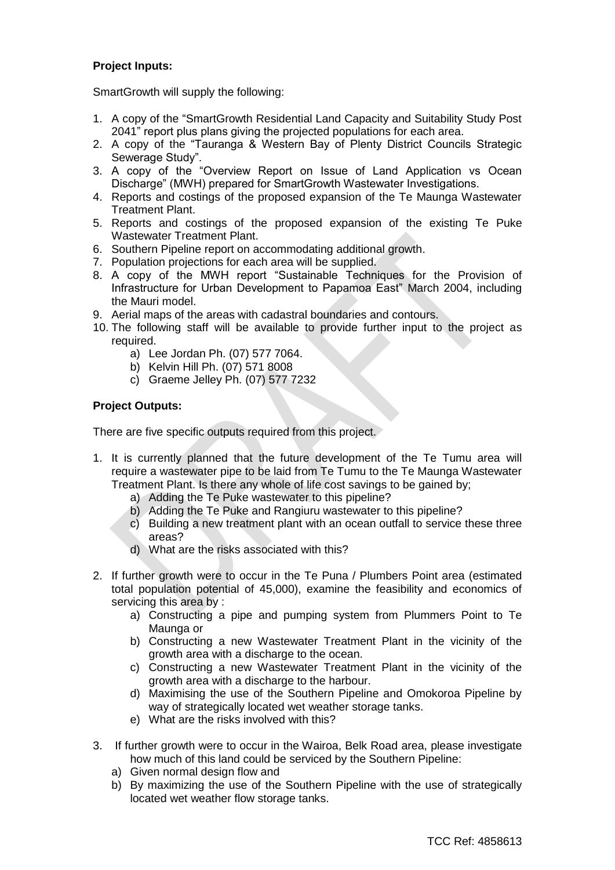## **Project Inputs:**

SmartGrowth will supply the following:

- 1. A copy of the "SmartGrowth Residential Land Capacity and Suitability Study Post 2041" report plus plans giving the projected populations for each area.
- 2. A copy of the "Tauranga & Western Bay of Plenty District Councils Strategic Sewerage Study".
- 3. A copy of the "Overview Report on Issue of Land Application vs Ocean Discharge" (MWH) prepared for SmartGrowth Wastewater Investigations.
- 4. Reports and costings of the proposed expansion of the Te Maunga Wastewater Treatment Plant.
- 5. Reports and costings of the proposed expansion of the existing Te Puke Wastewater Treatment Plant.
- 6. Southern Pipeline report on accommodating additional growth.
- 7. Population projections for each area will be supplied.
- 8. A copy of the MWH report "Sustainable Techniques for the Provision of Infrastructure for Urban Development to Papamoa East" March 2004, including the Mauri model.
- 9. Aerial maps of the areas with cadastral boundaries and contours.
- 10. The following staff will be available to provide further input to the project as required.
	- a) Lee Jordan Ph. (07) 577 7064.
	- b) Kelvin Hill Ph. (07) 571 8008
	- c) Graeme Jelley Ph. (07) 577 7232

### **Project Outputs:**

There are five specific outputs required from this project.

- 1. It is currently planned that the future development of the Te Tumu area will require a wastewater pipe to be laid from Te Tumu to the Te Maunga Wastewater Treatment Plant. Is there any whole of life cost savings to be gained by;
	- a) Adding the Te Puke wastewater to this pipeline?
	- b) Adding the Te Puke and Rangiuru wastewater to this pipeline?
	- c) Building a new treatment plant with an ocean outfall to service these three areas?
	- d) What are the risks associated with this?
- 2. If further growth were to occur in the Te Puna / Plumbers Point area (estimated total population potential of 45,000), examine the feasibility and economics of servicing this area by :
	- a) Constructing a pipe and pumping system from Plummers Point to Te Maunga or
	- b) Constructing a new Wastewater Treatment Plant in the vicinity of the growth area with a discharge to the ocean.
	- c) Constructing a new Wastewater Treatment Plant in the vicinity of the growth area with a discharge to the harbour.
	- d) Maximising the use of the Southern Pipeline and Omokoroa Pipeline by way of strategically located wet weather storage tanks.
	- e) What are the risks involved with this?
- 3. If further growth were to occur in the Wairoa, Belk Road area, please investigate how much of this land could be serviced by the Southern Pipeline:
	- a) Given normal design flow and
	- b) By maximizing the use of the Southern Pipeline with the use of strategically located wet weather flow storage tanks.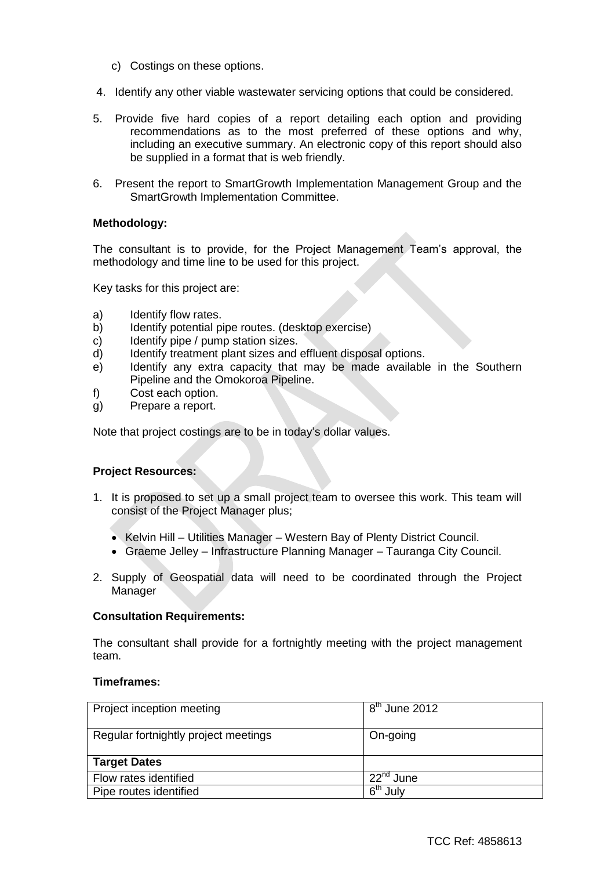- c) Costings on these options.
- 4. Identify any other viable wastewater servicing options that could be considered.
- 5. Provide five hard copies of a report detailing each option and providing recommendations as to the most preferred of these options and why, including an executive summary. An electronic copy of this report should also be supplied in a format that is web friendly.
- 6. Present the report to SmartGrowth Implementation Management Group and the SmartGrowth Implementation Committee.

#### **Methodology:**

The consultant is to provide, for the Project Management Team's approval, the methodology and time line to be used for this project.

Key tasks for this project are:

- a) Identify flow rates.
- b) Identify potential pipe routes. (desktop exercise)
- c) Identify pipe / pump station sizes.
- d) Identify treatment plant sizes and effluent disposal options.
- e) Identify any extra capacity that may be made available in the Southern Pipeline and the Omokoroa Pipeline.
- f) Cost each option.
- g) Prepare a report.

Note that project costings are to be in today's dollar values.

### **Project Resources:**

- 1. It is proposed to set up a small project team to oversee this work. This team will consist of the Project Manager plus;
	- Kelvin Hill Utilities Manager Western Bay of Plenty District Council.
	- Graeme Jelley Infrastructure Planning Manager Tauranga City Council.
- 2. Supply of Geospatial data will need to be coordinated through the Project Manager

#### **Consultation Requirements:**

The consultant shall provide for a fortnightly meeting with the project management team.

#### **Timeframes:**

| Project inception meeting            | $\overline{8}^{\text{th}}$ June 2012      |
|--------------------------------------|-------------------------------------------|
| Regular fortnightly project meetings | On-going                                  |
| <b>Target Dates</b>                  |                                           |
| Flow rates identified                | 22 <sup>nd</sup> June                     |
| Pipe routes identified               | $\boldsymbol{\kappa}^{\text{th}}$<br>Julv |